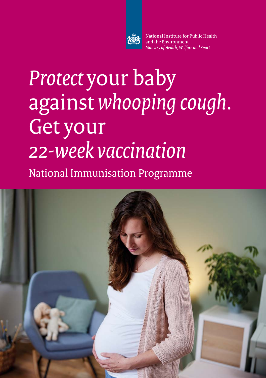

National Institute for Public Health and the Environment Ministry of Health, Welfare and Sport

# *Protect* your baby against *whooping cough.* Get your *22-week vaccination* National Immunisation Programme

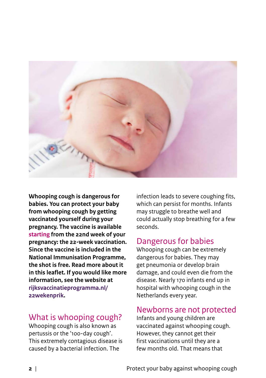

**Whooping cough is dangerous for babies. You can protect your baby from whooping cough by getting vaccinated yourself during your pregnancy. The vaccine is available starting from the 22nd week of your pregnancy: the 22-week vaccination. Since the vaccine is included in the National Immunisation Programme, the shot is free. Read more about it in this leaflet. If you would like more information, see the website at [rijksvaccinatieprogramma.nl/](http://rijksvaccinatieprogramma.nl/22wekenprik)  [22wekenprik.](http://rijksvaccinatieprogramma.nl/22wekenprik)** 

#### What is whooping cough?

Whooping cough is also known as pertussis or the '100-day cough'. This extremely contagious disease is caused by a bacterial infection. The

infection leads to severe coughing fits, which can persist for months. Infants may struggle to breathe well and could actually stop breathing for a few seconds.

#### Dangerous for babies

Whooping cough can be extremely dangerous for babies. They may get pneumonia or develop brain damage, and could even die from the disease. Nearly 170 infants end up in hospital with whooping cough in the Netherlands every year.

#### Newborns are not protected

Infants and young children are vaccinated against whooping cough. However, they cannot get their first vaccinations until they are a few months old. That means that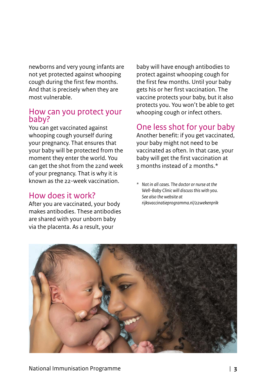newborns and very young infants are not yet protected against whooping cough during the first few months. And that is precisely when they are most vulnerable.

#### How can you protect your baby?

You can get vaccinated against whooping cough yourself during your pregnancy. That ensures that your baby will be protected from the moment they enter the world. You can get the shot from the 22nd week of your pregnancy. That is why it is known as the 22-week vaccination.

# How does it work?

After you are vaccinated, your body makes antibodies. These antibodies are shared with your unborn baby via the placenta. As a result, your

baby will have enough antibodies to protect against whooping cough for the first few months. Until your baby gets his or her first vaccination. The vaccine protects your baby, but it also protects you. You won't be able to get whooping cough or infect others.

### One less shot for your baby

Another benefit: if you get vaccinated, your baby might not need to be vaccinated as often. In that case, your baby will get the first vaccination at 3 months instead of 2 months.\*

*\* Not in all cases. The doctor or nurse at the Well-Baby Clinic will discuss this with you. See also the website at [rijksvaccinatieprogramma.nl/22wekenprik](https://www.rijksvaccinatieprogramma.nl/22wekenprik)*

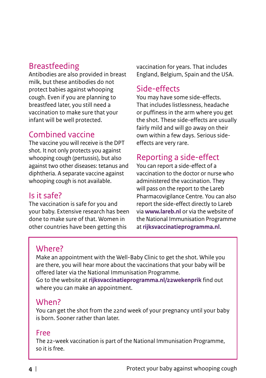# Breastfeeding

Antibodies are also provided in breast milk, but these antibodies do not protect babies against whooping cough. Even if you are planning to breastfeed later, you still need a vaccination to make sure that your infant will be well protected.

### Combined vaccine

The vaccine you will receive is the DPT shot. It not only protects you against whooping cough (pertussis), but also against two other diseases: tetanus and diphtheria. A separate vaccine against whooping cough is not available.

#### Is it safe?

The vaccination is safe for you and your baby. Extensive research has been done to make sure of that. Women in other countries have been getting this

vaccination for years. That includes England, Belgium, Spain and the USA.

# Side-effects

You may have some side-effects. That includes listlessness, headache or puffiness in the arm where you get the shot. These side-effects are usually fairly mild and will go away on their own within a few days. Serious sideeffects are very rare.

# Reporting a side-effect

You can report a side-effect of a vaccination to the doctor or nurse who administered the vaccination. They will pass on the report to the Lareb Pharmacovigilance Centre. You can also report the side-effect directly to Lareb via **[www.lareb.nl](http://www.lareb.nl)** or via the website of the National Immunisation Programme at **[rijksvaccinatieprogramma.nl](http://rijksvaccinatieprogramma.nl)**.

# Where?

Make an appointment with the Well-Baby Clinic to get the shot. While you are there, you will hear more about the vaccinations that your baby will be offered later via the National Immunisation Programme.

Go to the website at **[rijksvaccinatieprogramma.nl/22wekenprik](http://rijksvaccinatieprogramma.nl/22wekenprik)** find out where you can make an appointment.

#### When?

You can get the shot from the 22nd week of your pregnancy until your baby is born. Sooner rather than later.

#### Free

The 22-week vaccination is part of the National Immunisation Programme, so it is free.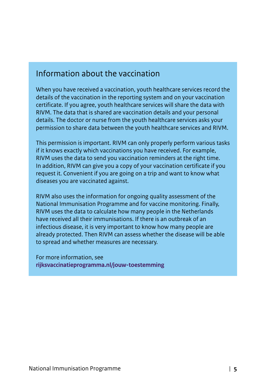# Information about the vaccination

When you have received a vaccination, youth healthcare services record the details of the vaccination in the reporting system and on your vaccination certificate. If you agree, youth healthcare services will share the data with RIVM. The data that is shared are vaccination details and your personal details. The doctor or nurse from the youth healthcare services asks your permission to share data between the youth healthcare services and RIVM.

This permission is important. RIVM can only properly perform various tasks if it knows exactly which vaccinations you have received. For example, RIVM uses the data to send you vaccination reminders at the right time. In addition, RIVM can give you a copy of your vaccination certificate if you request it. Convenient if you are going on a trip and want to know what diseases you are vaccinated against.

RIVM also uses the information for ongoing quality assessment of the National Immunisation Programme and for vaccine monitoring. Finally, RIVM uses the data to calculate how many people in the Netherlands have received all their immunisations. If there is an outbreak of an infectious disease, it is very important to know how many people are already protected. Then RIVM can assess whether the disease will be able to spread and whether measures are necessary.

For more information, see **[rijksvaccinatieprogramma.nl/jouw-toestemming](https://rijksvaccinatieprogramma.nl/over-het-programma/juridische-informatie)**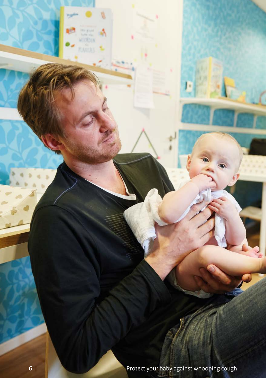**6** | **Protect your baby against whooping cough** 

**WOODS ON**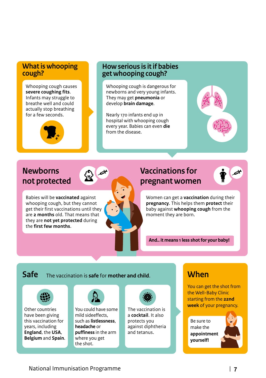#### **What is whooping cough?**

Whooping cough causes **severe coughing fits**. Infants may struggle to breathe well and could actually stop breathing for a few seconds.



#### **How serious is it if babies get whooping cough?**

Whooping cough is dangerous for newborns and very young infants. They may get **pneumonia** or develop **brain damage**.

Nearly 170 infants end up in hospital with whooping cough every year. Babies can even **die** from the disease.

#### **Newborns not protected**

Babies will be **vaccinated** against whooping cough, but they cannot get their first vaccinations until they are **2 months** old. That means that they are **not yet protected** during the **first few months**.

#### **Vaccinations for pregnant women**



Women can get a **vaccination** during their **pregnancy**. This helps them **protect** their baby against **whooping cough** from the moment they are born.

**And.. it means 1 less shot for your baby!**

#### **Safe** The vaccination is **safe** for **mother and child**.

 $\sqrt{2}$ 



Other countries have been giving this vaccination for years, including **England**, the **USA**, **Belgium** and **Spain**.



You could have some mild sideeffects, such as **listlessness**, **headache** or **puffiness** in the arm where you get the shot.



The vaccination is a **cocktail**. It also protects you against diphtheria and tetanus.

# **When**

You can get the shot from the Well-Baby Clinic starting from the **22nd week** of your pregnancy.

Be sure to make the **appointment yourself!**